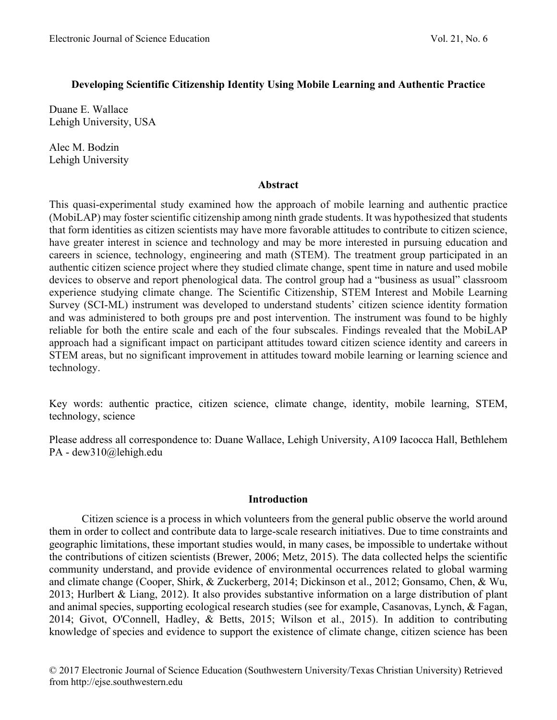## **Developing Scientific Citizenship Identity Using Mobile Learning and Authentic Practice**

Duane E. Wallace Lehigh University, USA

Alec M. Bodzin Lehigh University

### **Abstract**

This quasi-experimental study examined how the approach of mobile learning and authentic practice (MobiLAP) may foster scientific citizenship among ninth grade students. It was hypothesized that students that form identities as citizen scientists may have more favorable attitudes to contribute to citizen science, have greater interest in science and technology and may be more interested in pursuing education and careers in science, technology, engineering and math (STEM). The treatment group participated in an authentic citizen science project where they studied climate change, spent time in nature and used mobile devices to observe and report phenological data. The control group had a "business as usual" classroom experience studying climate change. The Scientific Citizenship, STEM Interest and Mobile Learning Survey (SCI-ML) instrument was developed to understand students' citizen science identity formation and was administered to both groups pre and post intervention. The instrument was found to be highly reliable for both the entire scale and each of the four subscales. Findings revealed that the MobiLAP approach had a significant impact on participant attitudes toward citizen science identity and careers in STEM areas, but no significant improvement in attitudes toward mobile learning or learning science and technology.

Key words: authentic practice, citizen science, climate change, identity, mobile learning, STEM, technology, science

Please address all correspondence to: Duane Wallace, Lehigh University, A109 Iacocca Hall, Bethlehem PA - dew310@lehigh.edu

### **Introduction**

Citizen science is a process in which volunteers from the general public observe the world around them in order to collect and contribute data to large-scale research initiatives. Due to time constraints and geographic limitations, these important studies would, in many cases, be impossible to undertake without the contributions of citizen scientists (Brewer, 2006; Metz, 2015). The data collected helps the scientific community understand, and provide evidence of environmental occurrences related to global warming and climate change (Cooper, Shirk, & Zuckerberg, 2014; Dickinson et al., 2012; Gonsamo, Chen, & Wu, 2013; Hurlbert & Liang, 2012). It also provides substantive information on a large distribution of plant and animal species, supporting ecological research studies (see for example, Casanovas, Lynch, & Fagan, 2014; Givot, O'Connell, Hadley, & Betts, 2015; Wilson et al., 2015). In addition to contributing knowledge of species and evidence to support the existence of climate change, citizen science has been

© 2017 Electronic Journal of Science Education (Southwestern University/Texas Christian University) Retrieved from http://ejse.southwestern.edu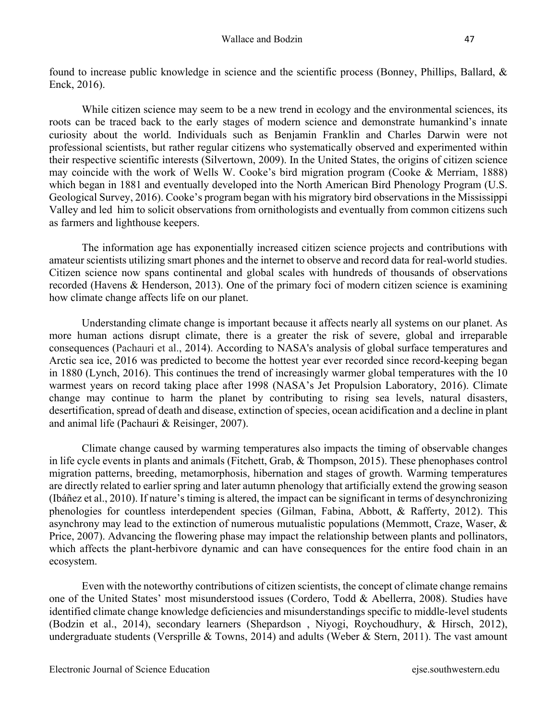found to increase public knowledge in science and the scientific process (Bonney, Phillips, Ballard, & Enck, 2016).

While citizen science may seem to be a new trend in ecology and the environmental sciences, its roots can be traced back to the early stages of modern science and demonstrate humankind's innate curiosity about the world. Individuals such as Benjamin Franklin and Charles Darwin were not professional scientists, but rather regular citizens who systematically observed and experimented within their respective scientific interests (Silvertown, 2009). In the United States, the origins of citizen science may coincide with the work of Wells W. Cooke's bird migration program (Cooke & Merriam, 1888) which began in 1881 and eventually developed into the North American Bird Phenology Program (U.S. Geological Survey, 2016). Cooke's program began with his migratory bird observations in the Mississippi Valley and led him to solicit observations from ornithologists and eventually from common citizens such as farmers and lighthouse keepers.

The information age has exponentially increased citizen science projects and contributions with amateur scientists utilizing smart phones and the internet to observe and record data for real-world studies. Citizen science now spans continental and global scales with hundreds of thousands of observations recorded (Havens & Henderson, 2013). One of the primary foci of modern citizen science is examining how climate change affects life on our planet.

Understanding climate change is important because it affects nearly all systems on our planet. As more human actions disrupt climate, there is a greater the risk of severe, global and irreparable consequences (Pachauri et al., 2014). According to NASA's analysis of global surface temperatures and Arctic sea ice, 2016 was predicted to become the hottest year ever recorded since record-keeping began in 1880 (Lynch, 2016). This continues the trend of increasingly warmer global temperatures with the 10 warmest years on record taking place after 1998 (NASA's Jet Propulsion Laboratory, 2016). Climate change may continue to harm the planet by contributing to rising sea levels, natural disasters, desertification, spread of death and disease, extinction of species, ocean acidification and a decline in plant and animal life (Pachauri & Reisinger, 2007).

Climate change caused by warming temperatures also impacts the timing of observable changes in life cycle events in plants and animals (Fitchett, Grab, & Thompson, 2015). These phenophases control migration patterns, breeding, metamorphosis, hibernation and stages of growth. Warming temperatures are directly related to earlier spring and later autumn phenology that artificially extend the growing season (Ibáñez et al., 2010). If nature's timing is altered, the impact can be significant in terms of desynchronizing phenologies for countless interdependent species (Gilman, Fabina, Abbott, & Rafferty, 2012). This asynchrony may lead to the extinction of numerous mutualistic populations (Memmott, Craze, Waser, & Price, 2007). Advancing the flowering phase may impact the relationship between plants and pollinators, which affects the plant-herbivore dynamic and can have consequences for the entire food chain in an ecosystem.

Even with the noteworthy contributions of citizen scientists, the concept of climate change remains one of the United States' most misunderstood issues (Cordero, Todd & Abellerra, 2008). Studies have identified climate change knowledge deficiencies and misunderstandings specific to middle-level students (Bodzin et al., 2014), secondary learners (Shepardson , Niyogi, Roychoudhury, & Hirsch, 2012), undergraduate students (Versprille & Towns, 2014) and adults (Weber & Stern, 2011). The vast amount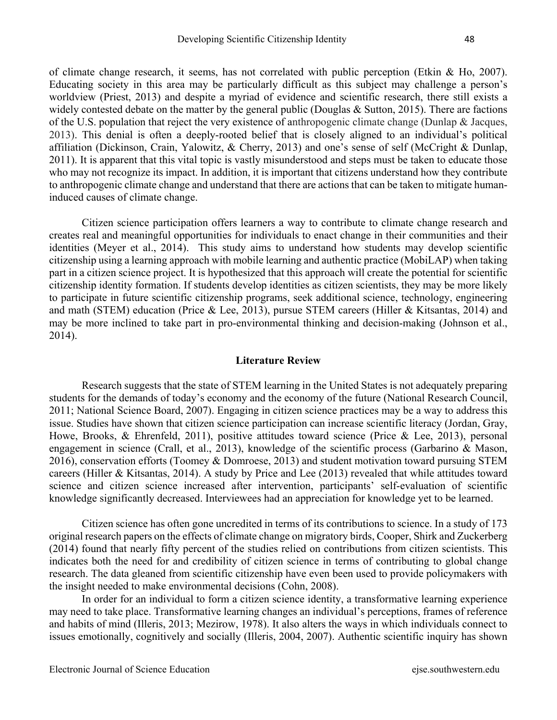of climate change research, it seems, has not correlated with public perception (Etkin & Ho, 2007). Educating society in this area may be particularly difficult as this subject may challenge a person's worldview (Priest, 2013) and despite a myriad of evidence and scientific research, there still exists a widely contested debate on the matter by the general public (Douglas & Sutton, 2015). There are factions of the U.S. population that reject the very existence of anthropogenic climate change (Dunlap & Jacques, 2013). This denial is often a deeply-rooted belief that is closely aligned to an individual's political affiliation (Dickinson, Crain, Yalowitz, & Cherry, 2013) and one's sense of self (McCright & Dunlap, 2011). It is apparent that this vital topic is vastly misunderstood and steps must be taken to educate those who may not recognize its impact. In addition, it is important that citizens understand how they contribute to anthropogenic climate change and understand that there are actions that can be taken to mitigate humaninduced causes of climate change.

Citizen science participation offers learners a way to contribute to climate change research and creates real and meaningful opportunities for individuals to enact change in their communities and their identities (Meyer et al., 2014). This study aims to understand how students may develop scientific citizenship using a learning approach with mobile learning and authentic practice (MobiLAP) when taking part in a citizen science project. It is hypothesized that this approach will create the potential for scientific citizenship identity formation. If students develop identities as citizen scientists, they may be more likely to participate in future scientific citizenship programs, seek additional science, technology, engineering and math (STEM) education (Price & Lee, 2013), pursue STEM careers (Hiller & Kitsantas, 2014) and may be more inclined to take part in pro-environmental thinking and decision-making (Johnson et al., 2014).

#### **Literature Review**

Research suggests that the state of STEM learning in the United States is not adequately preparing students for the demands of today's economy and the economy of the future (National Research Council, 2011; National Science Board, 2007). Engaging in citizen science practices may be a way to address this issue. Studies have shown that citizen science participation can increase scientific literacy (Jordan, Gray, Howe, Brooks, & Ehrenfeld, 2011), positive attitudes toward science (Price & Lee, 2013), personal engagement in science (Crall, et al., 2013), knowledge of the scientific process (Garbarino & Mason, 2016), conservation efforts (Toomey & Domroese, 2013) and student motivation toward pursuing STEM careers (Hiller & Kitsantas, 2014). A study by Price and Lee (2013) revealed that while attitudes toward science and citizen science increased after intervention, participants' self-evaluation of scientific knowledge significantly decreased. Interviewees had an appreciation for knowledge yet to be learned.

Citizen science has often gone uncredited in terms of its contributions to science. In a study of 173 original research papers on the effects of climate change on migratory birds, Cooper, Shirk and Zuckerberg (2014) found that nearly fifty percent of the studies relied on contributions from citizen scientists. This indicates both the need for and credibility of citizen science in terms of contributing to global change research. The data gleaned from scientific citizenship have even been used to provide policymakers with the insight needed to make environmental decisions (Cohn, 2008).

In order for an individual to form a citizen science identity, a transformative learning experience may need to take place. Transformative learning changes an individual's perceptions, frames of reference and habits of mind (Illeris, 2013; Mezirow, 1978). It also alters the ways in which individuals connect to issues emotionally, cognitively and socially (Illeris, 2004, 2007). Authentic scientific inquiry has shown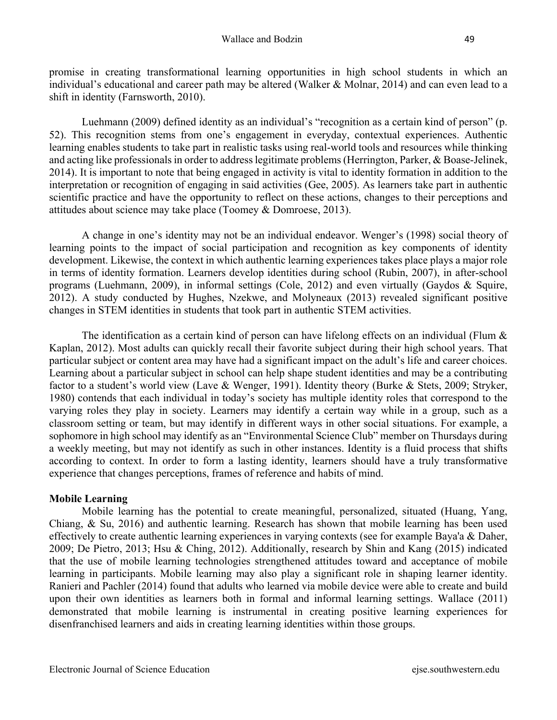promise in creating transformational learning opportunities in high school students in which an individual's educational and career path may be altered (Walker & Molnar, 2014) and can even lead to a shift in identity (Farnsworth, 2010).

Luehmann (2009) defined identity as an individual's "recognition as a certain kind of person" (p. 52). This recognition stems from one's engagement in everyday, contextual experiences. Authentic learning enables students to take part in realistic tasks using real-world tools and resources while thinking and acting like professionals in order to address legitimate problems (Herrington, Parker, & Boase-Jelinek, 2014). It is important to note that being engaged in activity is vital to identity formation in addition to the interpretation or recognition of engaging in said activities (Gee, 2005). As learners take part in authentic scientific practice and have the opportunity to reflect on these actions, changes to their perceptions and attitudes about science may take place (Toomey & Domroese, 2013).

A change in one's identity may not be an individual endeavor. Wenger's (1998) social theory of learning points to the impact of social participation and recognition as key components of identity development. Likewise, the context in which authentic learning experiences takes place plays a major role in terms of identity formation. Learners develop identities during school (Rubin, 2007), in after-school programs (Luehmann, 2009), in informal settings (Cole, 2012) and even virtually (Gaydos & Squire, 2012). A study conducted by Hughes, Nzekwe, and Molyneaux (2013) revealed significant positive changes in STEM identities in students that took part in authentic STEM activities.

The identification as a certain kind of person can have lifelong effects on an individual (Flum  $\&$ Kaplan, 2012). Most adults can quickly recall their favorite subject during their high school years. That particular subject or content area may have had a significant impact on the adult's life and career choices. Learning about a particular subject in school can help shape student identities and may be a contributing factor to a student's world view (Lave & Wenger, 1991). Identity theory (Burke & Stets, 2009; Stryker, 1980) contends that each individual in today's society has multiple identity roles that correspond to the varying roles they play in society. Learners may identify a certain way while in a group, such as a classroom setting or team, but may identify in different ways in other social situations. For example, a sophomore in high school may identify as an "Environmental Science Club" member on Thursdays during a weekly meeting, but may not identify as such in other instances. Identity is a fluid process that shifts according to context. In order to form a lasting identity, learners should have a truly transformative experience that changes perceptions, frames of reference and habits of mind.

## **Mobile Learning**

Mobile learning has the potential to create meaningful, personalized, situated (Huang, Yang, Chiang, & Su, 2016) and authentic learning. Research has shown that mobile learning has been used effectively to create authentic learning experiences in varying contexts (see for example Baya'a & Daher, 2009; De Pietro, 2013; Hsu & Ching, 2012). Additionally, research by Shin and Kang (2015) indicated that the use of mobile learning technologies strengthened attitudes toward and acceptance of mobile learning in participants. Mobile learning may also play a significant role in shaping learner identity. Ranieri and Pachler (2014) found that adults who learned via mobile device were able to create and build upon their own identities as learners both in formal and informal learning settings. Wallace (2011) demonstrated that mobile learning is instrumental in creating positive learning experiences for disenfranchised learners and aids in creating learning identities within those groups.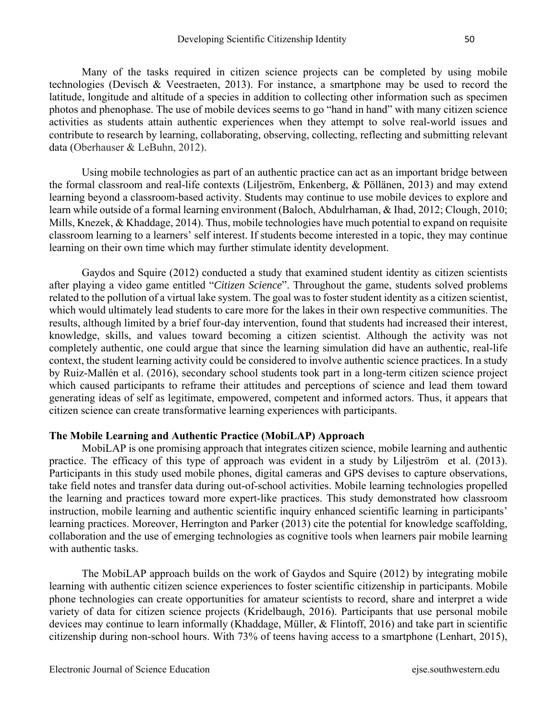Many of the tasks required in citizen science projects can be completed by using mobile technologies (Devisch & Veestraeten, 2013). For instance, a smartphone may be used to record the latitude, longitude and altitude of a species in addition to collecting other information such as specimen photos and phenophase. The use of mobile devices seems to go "hand in hand" with many citizen science activities as students attain authentic experiences when they attempt to solve real-world issues and contribute to research by learning, collaborating, observing, collecting, reflecting and submitting relevant data (Oberhauser & LeBuhn, 2012).

Using mobile technologies as part of an authentic practice can act as an important bridge between the formal classroom and real-life contexts (Liljeström, Enkenberg, & Pöllänen, 2013) and may extend learning beyond a classroom-based activity. Students may continue to use mobile devices to explore and learn while outside of a formal learning environment (Baloch, Abdulrhaman, & Ihad, 2012; Clough, 2010; Mills, Knezek, & Khaddage, 2014). Thus, mobile technologies have much potential to expand on requisite classroom learning to a learners' self interest. If students become interested in a topic, they may continue learning on their own time which may further stimulate identity development.

Gaydos and Squire (2012) conducted a study that examined student identity as citizen scientists after playing a video game entitled "*Citizen Science*". Throughout the game, students solved problems related to the pollution of a virtual lake system. The goal was to foster student identity as a citizen scientist, which would ultimately lead students to care more for the lakes in their own respective communities. The results, although limited by a brief four-day intervention, found that students had increased their interest, knowledge, skills, and values toward becoming a citizen scientist. Although the activity was not completely authentic, one could argue that since the learning simulation did have an authentic, real-life context, the student learning activity could be considered to involve authentic science practices. In a study by Ruiz-Mallén et al. (2016), secondary school students took part in a long-term citizen science project which caused participants to reframe their attitudes and perceptions of science and lead them toward generating ideas of self as legitimate, empowered, competent and informed actors. Thus, it appears that citizen science can create transformative learning experiences with participants.

#### **The Mobile Learning and Authentic Practice (MobiLAP) Approach**

MobiLAP is one promising approach that integrates citizen science, mobile learning and authentic practice. The efficacy of this type of approach was evident in a study by Liljeström et al. (2013). Participants in this study used mobile phones, digital cameras and GPS devises to capture observations, take field notes and transfer data during out-of-school activities. Mobile learning technologies propelled the learning and practices toward more expert-like practices. This study demonstrated how classroom instruction, mobile learning and authentic scientific inquiry enhanced scientific learning in participants' learning practices. Moreover, Herrington and Parker (2013) cite the potential for knowledge scaffolding, collaboration and the use of emerging technologies as cognitive tools when learners pair mobile learning with authentic tasks.

The MobiLAP approach builds on the work of Gaydos and Squire (2012) by integrating mobile learning with authentic citizen science experiences to foster scientific citizenship in participants. Mobile phone technologies can create opportunities for amateur scientists to record, share and interpret a wide variety of data for citizen science projects (Kridelbaugh, 2016). Participants that use personal mobile devices may continue to learn informally (Khaddage, Müller, & Flintoff, 2016) and take part in scientific citizenship during non-school hours. With 73% of teens having access to a smartphone (Lenhart, 2015),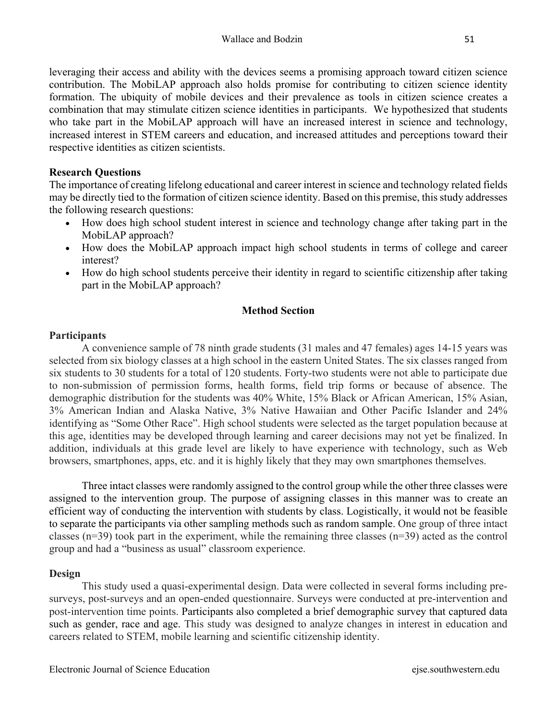leveraging their access and ability with the devices seems a promising approach toward citizen science contribution. The MobiLAP approach also holds promise for contributing to citizen science identity formation. The ubiquity of mobile devices and their prevalence as tools in citizen science creates a combination that may stimulate citizen science identities in participants. We hypothesized that students who take part in the MobiLAP approach will have an increased interest in science and technology, increased interest in STEM careers and education, and increased attitudes and perceptions toward their respective identities as citizen scientists.

### **Research Questions**

The importance of creating lifelong educational and career interest in science and technology related fields may be directly tied to the formation of citizen science identity. Based on this premise, this study addresses the following research questions:

- How does high school student interest in science and technology change after taking part in the MobiLAP approach?
- How does the MobiLAP approach impact high school students in terms of college and career interest?
- How do high school students perceive their identity in regard to scientific citizenship after taking part in the MobiLAP approach?

### **Method Section**

### **Participants**

A convenience sample of 78 ninth grade students (31 males and 47 females) ages 14-15 years was selected from six biology classes at a high school in the eastern United States. The six classes ranged from six students to 30 students for a total of 120 students. Forty-two students were not able to participate due to non-submission of permission forms, health forms, field trip forms or because of absence. The demographic distribution for the students was 40% White, 15% Black or African American, 15% Asian, 3% American Indian and Alaska Native, 3% Native Hawaiian and Other Pacific Islander and 24% identifying as "Some Other Race". High school students were selected as the target population because at this age, identities may be developed through learning and career decisions may not yet be finalized. In addition, individuals at this grade level are likely to have experience with technology, such as Web browsers, smartphones, apps, etc. and it is highly likely that they may own smartphones themselves.

Three intact classes were randomly assigned to the control group while the other three classes were assigned to the intervention group. The purpose of assigning classes in this manner was to create an efficient way of conducting the intervention with students by class. Logistically, it would not be feasible to separate the participants via other sampling methods such as random sample. One group of three intact classes (n=39) took part in the experiment, while the remaining three classes (n=39) acted as the control group and had a "business as usual" classroom experience.

#### **Design**

This study used a quasi-experimental design. Data were collected in several forms including presurveys, post-surveys and an open-ended questionnaire. Surveys were conducted at pre-intervention and post-intervention time points. Participants also completed a brief demographic survey that captured data such as gender, race and age. This study was designed to analyze changes in interest in education and careers related to STEM, mobile learning and scientific citizenship identity.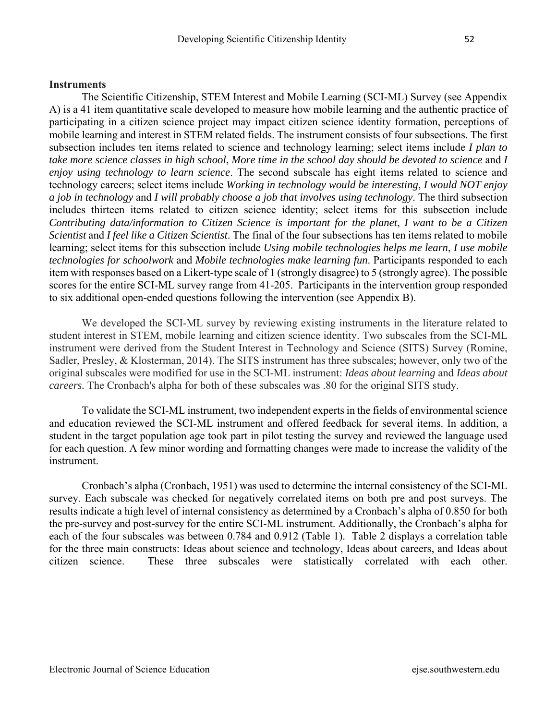## **Instruments**

The Scientific Citizenship, STEM Interest and Mobile Learning (SCI-ML) Survey (see Appendix A) is a 41 item quantitative scale developed to measure how mobile learning and the authentic practice of participating in a citizen science project may impact citizen science identity formation, perceptions of mobile learning and interest in STEM related fields. The instrument consists of four subsections. The first subsection includes ten items related to science and technology learning; select items include *I plan to take more science classes in high school*, *More time in the school day should be devoted to science* and *I enjoy using technology to learn science*. The second subscale has eight items related to science and technology careers; select items include *Working in technology would be interesting*, *I would NOT enjoy a job in technology* and *I will probably choose a job that involves using technology*. The third subsection includes thirteen items related to citizen science identity; select items for this subsection include *Contributing data/information to Citizen Science is important for the planet*, *I want to be a Citizen Scientist* and *I feel like a Citizen Scientist*. The final of the four subsections has ten items related to mobile learning; select items for this subsection include *Using mobile technologies helps me learn*, *I use mobile technologies for schoolwork* and *Mobile technologies make learning fun*. Participants responded to each item with responses based on a Likert-type scale of 1 (strongly disagree) to 5 (strongly agree). The possible scores for the entire SCI-ML survey range from 41-205. Participants in the intervention group responded to six additional open-ended questions following the intervention (see Appendix B).

We developed the SCI-ML survey by reviewing existing instruments in the literature related to student interest in STEM, mobile learning and citizen science identity. Two subscales from the SCI-ML instrument were derived from the Student Interest in Technology and Science (SITS) Survey (Romine, Sadler, Presley, & Klosterman, 2014). The SITS instrument has three subscales; however, only two of the original subscales were modified for use in the SCI-ML instrument: *Ideas about learning* and *Ideas about careers.* The Cronbach's alpha for both of these subscales was .80 for the original SITS study.

To validate the SCI-ML instrument, two independent experts in the fields of environmental science and education reviewed the SCI-ML instrument and offered feedback for several items. In addition, a student in the target population age took part in pilot testing the survey and reviewed the language used for each question. A few minor wording and formatting changes were made to increase the validity of the instrument.

Cronbach's alpha (Cronbach, 1951) was used to determine the internal consistency of the SCI-ML survey. Each subscale was checked for negatively correlated items on both pre and post surveys. The results indicate a high level of internal consistency as determined by a Cronbach's alpha of 0.850 for both the pre-survey and post-survey for the entire SCI-ML instrument. Additionally, the Cronbach's alpha for each of the four subscales was between 0.784 and 0.912 (Table 1). Table 2 displays a correlation table for the three main constructs: Ideas about science and technology, Ideas about careers, and Ideas about citizen science. These three subscales were statistically correlated with each other.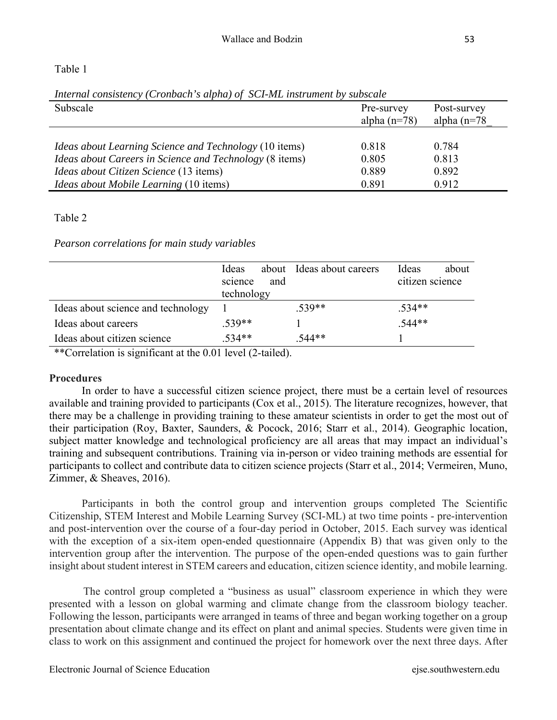## Table 1

| Subscale                                                       | Pre-survey<br>alpha $(n=78)$ | Post-survey<br>alpha $(n=78)$ |
|----------------------------------------------------------------|------------------------------|-------------------------------|
| Ideas about Learning Science and Technology (10 items)         | 0.818                        | 0.784                         |
| <i>Ideas about Careers in Science and Technology</i> (8 items) | 0.805                        | 0.813                         |
| <i>Ideas about Citizen Science</i> (13 items)                  | 0.889                        | 0.892                         |
| Ideas about Mobile Learning (10 items)                         | 0.891                        | 0.912                         |

*Internal consistency (Cronbach's alpha) of SCI-ML instrument by subscale* 

# Table 2

*Pearson correlations for main study variables*

|                                    | <b>I</b> deas |     | about Ideas about careers | Ideas           | about |
|------------------------------------|---------------|-----|---------------------------|-----------------|-------|
|                                    | science       | and |                           | citizen science |       |
|                                    | technology    |     |                           |                 |       |
| Ideas about science and technology |               |     | $.539**$                  | $.534**$        |       |
| Ideas about careers                | $.539**$      |     |                           | $.544**$        |       |
| Ideas about citizen science        | $.534**$      |     | $.544**$                  |                 |       |
|                                    |               |     |                           |                 |       |

\*\*Correlation is significant at the 0.01 level (2-tailed).

## **Procedures**

In order to have a successful citizen science project, there must be a certain level of resources available and training provided to participants (Cox et al., 2015). The literature recognizes, however, that there may be a challenge in providing training to these amateur scientists in order to get the most out of their participation (Roy, Baxter, Saunders, & Pocock, 2016; Starr et al., 2014). Geographic location, subject matter knowledge and technological proficiency are all areas that may impact an individual's training and subsequent contributions. Training via in-person or video training methods are essential for participants to collect and contribute data to citizen science projects (Starr et al., 2014; Vermeiren, Muno, Zimmer, & Sheaves, 2016).

Participants in both the control group and intervention groups completed The Scientific Citizenship, STEM Interest and Mobile Learning Survey (SCI-ML) at two time points - pre-intervention and post-intervention over the course of a four-day period in October, 2015. Each survey was identical with the exception of a six-item open-ended questionnaire (Appendix B) that was given only to the intervention group after the intervention. The purpose of the open-ended questions was to gain further insight about student interest in STEM careers and education, citizen science identity, and mobile learning.

 The control group completed a "business as usual" classroom experience in which they were presented with a lesson on global warming and climate change from the classroom biology teacher. Following the lesson, participants were arranged in teams of three and began working together on a group presentation about climate change and its effect on plant and animal species. Students were given time in class to work on this assignment and continued the project for homework over the next three days. After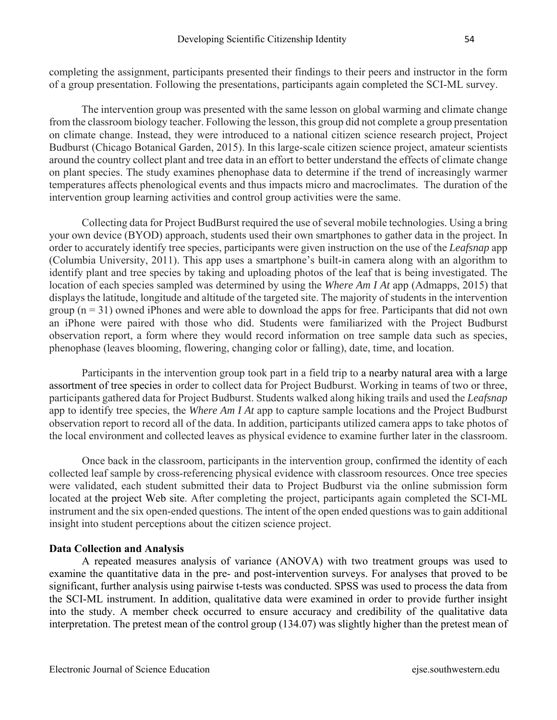completing the assignment, participants presented their findings to their peers and instructor in the form of a group presentation. Following the presentations, participants again completed the SCI-ML survey.

 The intervention group was presented with the same lesson on global warming and climate change from the classroom biology teacher. Following the lesson, this group did not complete a group presentation on climate change. Instead, they were introduced to a national citizen science research project, Project Budburst (Chicago Botanical Garden, 2015). In this large-scale citizen science project, amateur scientists around the country collect plant and tree data in an effort to better understand the effects of climate change on plant species. The study examines phenophase data to determine if the trend of increasingly warmer temperatures affects phenological events and thus impacts micro and macroclimates. The duration of the intervention group learning activities and control group activities were the same.

Collecting data for Project BudBurst required the use of several mobile technologies. Using a bring your own device (BYOD) approach, students used their own smartphones to gather data in the project. In order to accurately identify tree species, participants were given instruction on the use of the *Leafsnap* app (Columbia University, 2011). This app uses a smartphone's built-in camera along with an algorithm to identify plant and tree species by taking and uploading photos of the leaf that is being investigated. The location of each species sampled was determined by using the *Where Am I At* app (Admapps, 2015) that displays the latitude, longitude and altitude of the targeted site. The majority of students in the intervention group  $(n = 31)$  owned iPhones and were able to download the apps for free. Participants that did not own an iPhone were paired with those who did. Students were familiarized with the Project Budburst observation report, a form where they would record information on tree sample data such as species, phenophase (leaves blooming, flowering, changing color or falling), date, time, and location.

Participants in the intervention group took part in a field trip to a nearby natural area with a large assortment of tree species in order to collect data for Project Budburst. Working in teams of two or three, participants gathered data for Project Budburst. Students walked along hiking trails and used the *Leafsnap* app to identify tree species, the *Where Am I At* app to capture sample locations and the Project Budburst observation report to record all of the data. In addition, participants utilized camera apps to take photos of the local environment and collected leaves as physical evidence to examine further later in the classroom.

 Once back in the classroom, participants in the intervention group, confirmed the identity of each collected leaf sample by cross-referencing physical evidence with classroom resources. Once tree species were validated, each student submitted their data to Project Budburst via the online submission form located at the project Web site. After completing the project, participants again completed the SCI-ML instrument and the six open-ended questions. The intent of the open ended questions was to gain additional insight into student perceptions about the citizen science project.

## **Data Collection and Analysis**

A repeated measures analysis of variance (ANOVA) with two treatment groups was used to examine the quantitative data in the pre- and post-intervention surveys. For analyses that proved to be significant, further analysis using pairwise t-tests was conducted. SPSS was used to process the data from the SCI-ML instrument. In addition, qualitative data were examined in order to provide further insight into the study. A member check occurred to ensure accuracy and credibility of the qualitative data interpretation. The pretest mean of the control group (134.07) was slightly higher than the pretest mean of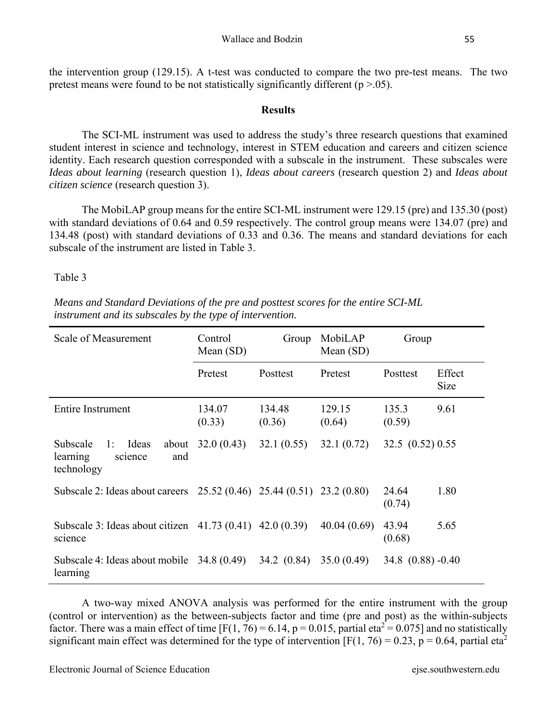the intervention group (129.15). A t-test was conducted to compare the two pre-test means. The two pretest means were found to be not statistically significantly different ( $p > .05$ ).

## **Results**

The SCI-ML instrument was used to address the study's three research questions that examined student interest in science and technology, interest in STEM education and careers and citizen science identity. Each research question corresponded with a subscale in the instrument. These subscales were *Ideas about learning* (research question 1), *Ideas about careers* (research question 2) and *Ideas about citizen science* (research question 3).

The MobiLAP group means for the entire SCI-ML instrument were 129.15 (pre) and 135.30 (post) with standard deviations of 0.64 and 0.59 respectively. The control group means were 134.07 (pre) and 134.48 (post) with standard deviations of 0.33 and 0.36. The means and standard deviations for each subscale of the instrument are listed in Table 3.

Table 3

| Scale of Measurement                                                         | Control<br>Mean $(SD)$ | Group            | MobiLAP<br>Mean (SD) | Group                 |                |
|------------------------------------------------------------------------------|------------------------|------------------|----------------------|-----------------------|----------------|
|                                                                              | Pretest                | Posttest         | Pretest              | Posttest              | Effect<br>Size |
| Entire Instrument                                                            | 134.07<br>(0.33)       | 134.48<br>(0.36) | 129.15<br>(0.64)     | 135.3<br>(0.59)       | 9.61           |
| Subscale<br>Ideas<br>1:<br>about<br>learning<br>and<br>science<br>technology | 32.0(0.43)             | 32.1(0.55)       | 32.1(0.72)           | 32.5 $(0.52)$ 0.55    |                |
| Subscale 2: Ideas about careers 25.52 (0.46) 25.44 (0.51) 23.2 (0.80)        |                        |                  |                      | 24.64<br>(0.74)       | 1.80           |
| Subscale 3: Ideas about citizen 41.73 (0.41) 42.0 (0.39)<br>science          |                        |                  | 40.04(0.69)          | 43.94<br>(0.68)       | 5.65           |
| Subscale 4: Ideas about mobile $34.8(0.49)$<br>learning                      |                        | 34.2 (0.84)      | 35.0(0.49)           | $34.8$ $(0.88) -0.40$ |                |

*Means and Standard Deviations of the pre and posttest scores for the entire SCI-ML instrument and its subscales by the type of intervention.*

A two-way mixed ANOVA analysis was performed for the entire instrument with the group (control or intervention) as the between-subjects factor and time (pre and post) as the within-subjects factor. There was a main effect of time [F(1, 76) = 6.14, p = 0.015, partial eta<sup>2</sup> = 0.075] and no statistically significant main effect was determined for the type of intervention [F(1, 76) = 0.23, p = 0.64, partial eta<sup>2</sup>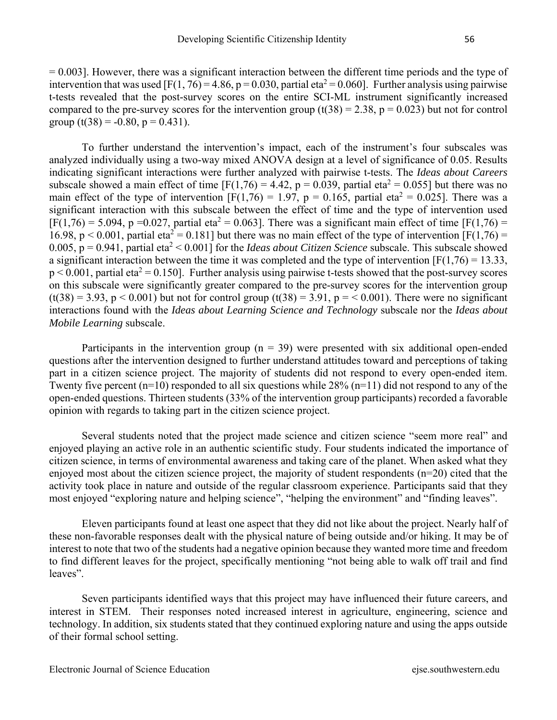$= 0.003$ . However, there was a significant interaction between the different time periods and the type of intervention that was used [F(1, 76) = 4.86, p = 0.030, partial eta<sup>2</sup> = 0.060]. Further analysis using pairwise t-tests revealed that the post-survey scores on the entire SCI-ML instrument significantly increased compared to the pre-survey scores for the intervention group  $(t(38) = 2.38, p = 0.023)$  but not for control group (t(38) = -0.80,  $p = 0.431$ ).

To further understand the intervention's impact, each of the instrument's four subscales was analyzed individually using a two-way mixed ANOVA design at a level of significance of 0.05. Results indicating significant interactions were further analyzed with pairwise t-tests. The *Ideas about Careers* subscale showed a main effect of time  $[F(1,76) = 4.42, p = 0.039,$  partial eta<sup>2</sup> = 0.055] but there was no main effect of the type of intervention  $[F(1,76) = 1.97, p = 0.165,$  partial eta<sup>2</sup> = 0.025]. There was a significant interaction with this subscale between the effect of time and the type of intervention used  $[F(1,76) = 5.094, p = 0.027,$  partial eta<sup>2</sup> = 0.063]. There was a significant main effect of time [F(1,76) = 16.98, p < 0.001, partial eta<sup>2</sup> = 0.181] but there was no main effect of the type of intervention [F(1,76) = 0.005,  $p = 0.941$ , partial eta<sup>2</sup> < 0.001] for the *Ideas about Citizen Science* subscale. This subscale showed a significant interaction between the time it was completed and the type of intervention  $[F(1,76) = 13.33]$ ,  $p < 0.001$ , partial eta<sup>2</sup> = 0.150]. Further analysis using pairwise t-tests showed that the post-survey scores on this subscale were significantly greater compared to the pre-survey scores for the intervention group  $(t(38) = 3.93, p < 0.001)$  but not for control group  $(t(38) = 3.91, p = 0.001)$ . There were no significant interactions found with the *Ideas about Learning Science and Technology* subscale nor the *Ideas about Mobile Learning* subscale.

Participants in the intervention group  $(n = 39)$  were presented with six additional open-ended questions after the intervention designed to further understand attitudes toward and perceptions of taking part in a citizen science project. The majority of students did not respond to every open-ended item. Twenty five percent (n=10) responded to all six questions while  $28\%$  (n=11) did not respond to any of the open-ended questions. Thirteen students (33% of the intervention group participants) recorded a favorable opinion with regards to taking part in the citizen science project.

Several students noted that the project made science and citizen science "seem more real" and enjoyed playing an active role in an authentic scientific study. Four students indicated the importance of citizen science, in terms of environmental awareness and taking care of the planet. When asked what they enjoyed most about the citizen science project, the majority of student respondents (n=20) cited that the activity took place in nature and outside of the regular classroom experience. Participants said that they most enjoyed "exploring nature and helping science", "helping the environment" and "finding leaves".

Eleven participants found at least one aspect that they did not like about the project. Nearly half of these non-favorable responses dealt with the physical nature of being outside and/or hiking. It may be of interest to note that two of the students had a negative opinion because they wanted more time and freedom to find different leaves for the project, specifically mentioning "not being able to walk off trail and find leaves".

Seven participants identified ways that this project may have influenced their future careers, and interest in STEM. Their responses noted increased interest in agriculture, engineering, science and technology. In addition, six students stated that they continued exploring nature and using the apps outside of their formal school setting.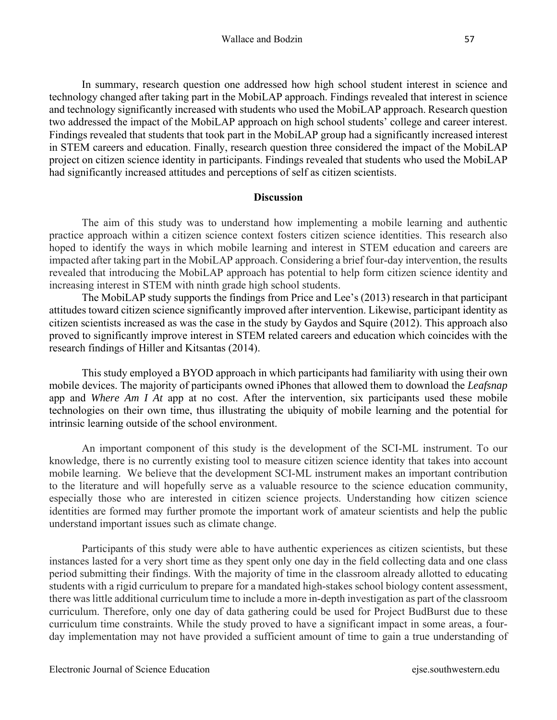In summary, research question one addressed how high school student interest in science and technology changed after taking part in the MobiLAP approach. Findings revealed that interest in science and technology significantly increased with students who used the MobiLAP approach. Research question two addressed the impact of the MobiLAP approach on high school students' college and career interest. Findings revealed that students that took part in the MobiLAP group had a significantly increased interest in STEM careers and education. Finally, research question three considered the impact of the MobiLAP project on citizen science identity in participants. Findings revealed that students who used the MobiLAP had significantly increased attitudes and perceptions of self as citizen scientists.

### **Discussion**

The aim of this study was to understand how implementing a mobile learning and authentic practice approach within a citizen science context fosters citizen science identities. This research also hoped to identify the ways in which mobile learning and interest in STEM education and careers are impacted after taking part in the MobiLAP approach. Considering a brief four-day intervention, the results revealed that introducing the MobiLAP approach has potential to help form citizen science identity and increasing interest in STEM with ninth grade high school students.

The MobiLAP study supports the findings from Price and Lee's (2013) research in that participant attitudes toward citizen science significantly improved after intervention. Likewise, participant identity as citizen scientists increased as was the case in the study by Gaydos and Squire (2012). This approach also proved to significantly improve interest in STEM related careers and education which coincides with the research findings of Hiller and Kitsantas (2014).

This study employed a BYOD approach in which participants had familiarity with using their own mobile devices. The majority of participants owned iPhones that allowed them to download the *Leafsnap* app and *Where Am I At* app at no cost. After the intervention, six participants used these mobile technologies on their own time, thus illustrating the ubiquity of mobile learning and the potential for intrinsic learning outside of the school environment.

An important component of this study is the development of the SCI-ML instrument. To our knowledge, there is no currently existing tool to measure citizen science identity that takes into account mobile learning. We believe that the development SCI-ML instrument makes an important contribution to the literature and will hopefully serve as a valuable resource to the science education community, especially those who are interested in citizen science projects. Understanding how citizen science identities are formed may further promote the important work of amateur scientists and help the public understand important issues such as climate change.

Participants of this study were able to have authentic experiences as citizen scientists, but these instances lasted for a very short time as they spent only one day in the field collecting data and one class period submitting their findings. With the majority of time in the classroom already allotted to educating students with a rigid curriculum to prepare for a mandated high-stakes school biology content assessment, there was little additional curriculum time to include a more in-depth investigation as part of the classroom curriculum. Therefore, only one day of data gathering could be used for Project BudBurst due to these curriculum time constraints. While the study proved to have a significant impact in some areas, a fourday implementation may not have provided a sufficient amount of time to gain a true understanding of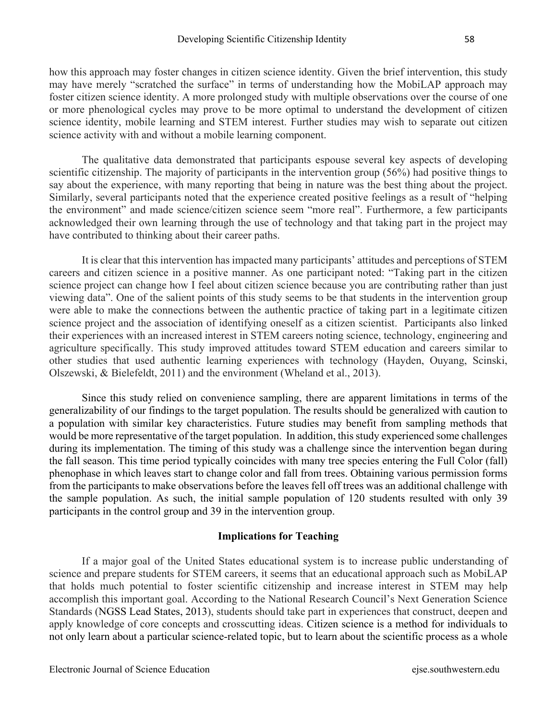how this approach may foster changes in citizen science identity. Given the brief intervention, this study may have merely "scratched the surface" in terms of understanding how the MobiLAP approach may foster citizen science identity. A more prolonged study with multiple observations over the course of one or more phenological cycles may prove to be more optimal to understand the development of citizen science identity, mobile learning and STEM interest. Further studies may wish to separate out citizen science activity with and without a mobile learning component.

The qualitative data demonstrated that participants espouse several key aspects of developing scientific citizenship. The majority of participants in the intervention group (56%) had positive things to say about the experience, with many reporting that being in nature was the best thing about the project. Similarly, several participants noted that the experience created positive feelings as a result of "helping the environment" and made science/citizen science seem "more real". Furthermore, a few participants acknowledged their own learning through the use of technology and that taking part in the project may have contributed to thinking about their career paths.

It is clear that this intervention has impacted many participants' attitudes and perceptions of STEM careers and citizen science in a positive manner. As one participant noted: "Taking part in the citizen science project can change how I feel about citizen science because you are contributing rather than just viewing data". One of the salient points of this study seems to be that students in the intervention group were able to make the connections between the authentic practice of taking part in a legitimate citizen science project and the association of identifying oneself as a citizen scientist. Participants also linked their experiences with an increased interest in STEM careers noting science, technology, engineering and agriculture specifically. This study improved attitudes toward STEM education and careers similar to other studies that used authentic learning experiences with technology (Hayden, Ouyang, Scinski, Olszewski, & Bielefeldt, 2011) and the environment (Wheland et al., 2013).

Since this study relied on convenience sampling, there are apparent limitations in terms of the generalizability of our findings to the target population. The results should be generalized with caution to a population with similar key characteristics. Future studies may benefit from sampling methods that would be more representative of the target population. In addition, this study experienced some challenges during its implementation. The timing of this study was a challenge since the intervention began during the fall season. This time period typically coincides with many tree species entering the Full Color (fall) phenophase in which leaves start to change color and fall from trees. Obtaining various permission forms from the participants to make observations before the leaves fell off trees was an additional challenge with the sample population. As such, the initial sample population of 120 students resulted with only 39 participants in the control group and 39 in the intervention group.

### **Implications for Teaching**

If a major goal of the United States educational system is to increase public understanding of science and prepare students for STEM careers, it seems that an educational approach such as MobiLAP that holds much potential to foster scientific citizenship and increase interest in STEM may help accomplish this important goal. According to the National Research Council's Next Generation Science Standards (NGSS Lead States, 2013), students should take part in experiences that construct, deepen and apply knowledge of core concepts and crosscutting ideas. Citizen science is a method for individuals to not only learn about a particular science-related topic, but to learn about the scientific process as a whole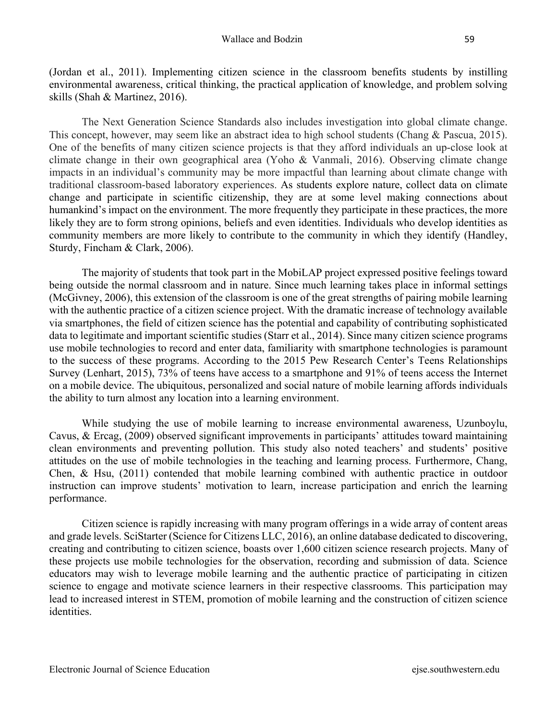(Jordan et al., 2011). Implementing citizen science in the classroom benefits students by instilling environmental awareness, critical thinking, the practical application of knowledge, and problem solving skills (Shah & Martinez, 2016).

The Next Generation Science Standards also includes investigation into global climate change. This concept, however, may seem like an abstract idea to high school students (Chang & Pascua, 2015). One of the benefits of many citizen science projects is that they afford individuals an up-close look at climate change in their own geographical area (Yoho & Vanmali, 2016). Observing climate change impacts in an individual's community may be more impactful than learning about climate change with traditional classroom-based laboratory experiences. As students explore nature, collect data on climate change and participate in scientific citizenship, they are at some level making connections about humankind's impact on the environment. The more frequently they participate in these practices, the more likely they are to form strong opinions, beliefs and even identities. Individuals who develop identities as community members are more likely to contribute to the community in which they identify (Handley, Sturdy, Fincham & Clark, 2006).

The majority of students that took part in the MobiLAP project expressed positive feelings toward being outside the normal classroom and in nature. Since much learning takes place in informal settings (McGivney, 2006), this extension of the classroom is one of the great strengths of pairing mobile learning with the authentic practice of a citizen science project. With the dramatic increase of technology available via smartphones, the field of citizen science has the potential and capability of contributing sophisticated data to legitimate and important scientific studies (Starr et al., 2014). Since many citizen science programs use mobile technologies to record and enter data, familiarity with smartphone technologies is paramount to the success of these programs. According to the 2015 Pew Research Center's Teens Relationships Survey (Lenhart, 2015), 73% of teens have access to a smartphone and 91% of teens access the Internet on a mobile device. The ubiquitous, personalized and social nature of mobile learning affords individuals the ability to turn almost any location into a learning environment.

While studying the use of mobile learning to increase environmental awareness, Uzunboylu, Cavus, & Ercag, (2009) observed significant improvements in participants' attitudes toward maintaining clean environments and preventing pollution. This study also noted teachers' and students' positive attitudes on the use of mobile technologies in the teaching and learning process. Furthermore, Chang, Chen, & Hsu, (2011) contended that mobile learning combined with authentic practice in outdoor instruction can improve students' motivation to learn, increase participation and enrich the learning performance.

Citizen science is rapidly increasing with many program offerings in a wide array of content areas and grade levels. SciStarter (Science for Citizens LLC, 2016), an online database dedicated to discovering, creating and contributing to citizen science, boasts over 1,600 citizen science research projects. Many of these projects use mobile technologies for the observation, recording and submission of data. Science educators may wish to leverage mobile learning and the authentic practice of participating in citizen science to engage and motivate science learners in their respective classrooms. This participation may lead to increased interest in STEM, promotion of mobile learning and the construction of citizen science identities.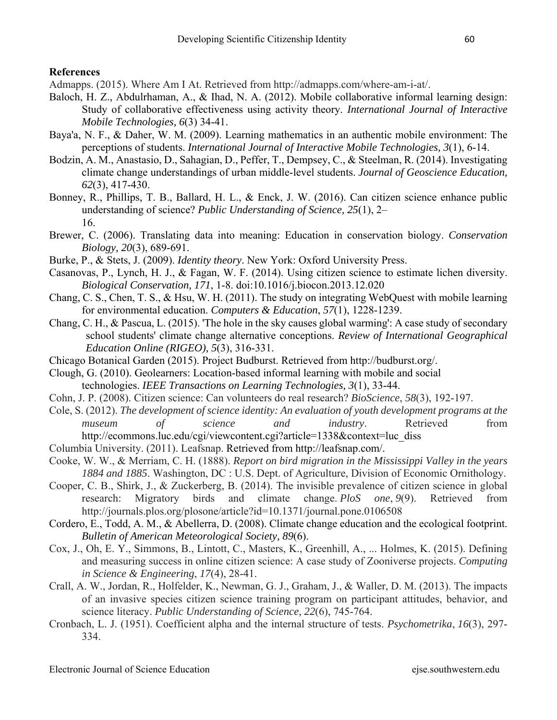### **References**

Admapps. (2015). Where Am I At. Retrieved from http://admapps.com/where-am-i-at/.

- Baloch, H. Z., Abdulrhaman, A., & Ihad, N. A. (2012). Mobile collaborative informal learning design: Study of collaborative effectiveness using activity theory. *International Journal of Interactive Mobile Technologies, 6*(3) 34-41.
- Baya'a, N. F., & Daher, W. M. (2009). Learning mathematics in an authentic mobile environment: The perceptions of students. *International Journal of Interactive Mobile Technologies, 3*(1), 6-14.
- Bodzin, A. M., Anastasio, D., Sahagian, D., Peffer, T., Dempsey, C., & Steelman, R. (2014). Investigating climate change understandings of urban middle-level students. *Journal of Geoscience Education, 62*(3), 417-430.
- Bonney, R., Phillips, T. B., Ballard, H. L., & Enck, J. W. (2016). Can citizen science enhance public understanding of science? *Public Understanding of Science, 25*(1), 2– 16.
- Brewer, C. (2006). Translating data into meaning: Education in conservation biology. *Conservation Biology, 20*(3), 689-691.
- Burke, P., & Stets, J. (2009). *Identity theory*. New York: Oxford University Press.
- Casanovas, P., Lynch, H. J., & Fagan, W. F. (2014). Using citizen science to estimate lichen diversity. *Biological Conservation, 171*, 1-8. doi:10.1016/j.biocon.2013.12.020
- Chang, C. S., Chen, T. S., & Hsu, W. H. (2011). The study on integrating WebQuest with mobile learning for environmental education. *Computers & Education*, *57*(1), 1228-1239.
- Chang, C. H., & Pascua, L. (2015). 'The hole in the sky causes global warming': A case study of secondary school students' climate change alternative conceptions. *Review of International Geographical Education Online (RIGEO), 5*(3), 316-331.
- Chicago Botanical Garden (2015). Project Budburst. Retrieved from http://budburst.org/.
- Clough, G. (2010). Geolearners: Location-based informal learning with mobile and social technologies. *IEEE Transactions on Learning Technologies, 3*(1), 33-44.
- Cohn, J. P. (2008). Citizen science: Can volunteers do real research? *BioScience*, *58*(3), 192-197.
- Cole, S. (2012). *The development of science identity: An evaluation of youth development programs at the museum of science and industry*. Retrieved from http://ecommons.luc.edu/cgi/viewcontent.cgi?article=1338&context=luc\_diss
- Columbia University. (2011). Leafsnap. Retrieved from http://leafsnap.com/.
- Cooke, W. W., & Merriam, C. H. (1888). *Report on bird migration in the Mississippi Valley in the years 1884 and 1885*. Washington, DC : U.S. Dept. of Agriculture, Division of Economic Ornithology.
- Cooper, C. B., Shirk, J., & Zuckerberg, B. (2014). The invisible prevalence of citizen science in global research: Migratory birds and climate change. *PloS one*, *9*(9). Retrieved from http://journals.plos.org/plosone/article?id=10.1371/journal.pone.0106508
- Cordero, E., Todd, A. M., & Abellerra, D. (2008). Climate change education and the ecological footprint. *Bulletin of American Meteorological Society, 89*(6).
- Cox, J., Oh, E. Y., Simmons, B., Lintott, C., Masters, K., Greenhill, A., ... Holmes, K. (2015). Defining and measuring success in online citizen science: A case study of Zooniverse projects. *Computing in Science & Engineering*, *17*(4), 28-41.
- Crall, A. W., Jordan, R., Holfelder, K., Newman, G. J., Graham, J., & Waller, D. M. (2013). The impacts of an invasive species citizen science training program on participant attitudes, behavior, and science literacy. *Public Understanding of Science, 22*(6), 745-764.
- Cronbach, L. J. (1951). Coefficient alpha and the internal structure of tests. *Psychometrika*, *16*(3), 297- 334.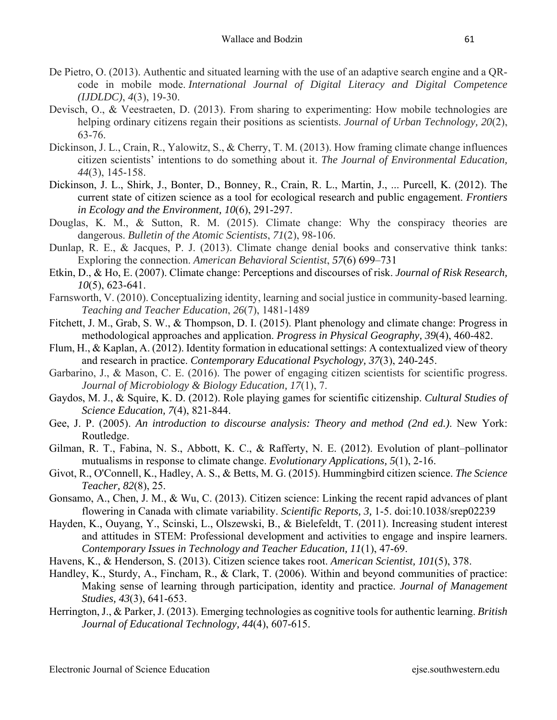- De Pietro, O. (2013). Authentic and situated learning with the use of an adaptive search engine and a QRcode in mobile mode. *International Journal of Digital Literacy and Digital Competence (IJDLDC)*, *4*(3), 19-30.
- Devisch, O., & Veestraeten, D. (2013). From sharing to experimenting: How mobile technologies are helping ordinary citizens regain their positions as scientists. *Journal of Urban Technology, 20*(2), 63-76.
- Dickinson, J. L., Crain, R., Yalowitz, S., & Cherry, T. M. (2013). How framing climate change influences citizen scientists' intentions to do something about it. *The Journal of Environmental Education, 44*(3), 145-158.
- Dickinson, J. L., Shirk, J., Bonter, D., Bonney, R., Crain, R. L., Martin, J., ... Purcell, K. (2012). The current state of citizen science as a tool for ecological research and public engagement. *Frontiers in Ecology and the Environment, 10*(6), 291-297.
- Douglas, K. M., & Sutton, R. M. (2015). Climate change: Why the conspiracy theories are dangerous. *Bulletin of the Atomic Scientists*, *71*(2), 98-106.
- Dunlap, R. E., & Jacques, P. J. (2013). Climate change denial books and conservative think tanks: Exploring the connection. *American Behavioral Scientist*, *57*(6) 699–731
- Etkin, D., & Ho, E. (2007). Climate change: Perceptions and discourses of risk. *Journal of Risk Research, 10*(5), 623-641.
- Farnsworth, V. (2010). Conceptualizing identity, learning and social justice in community-based learning. *Teaching and Teacher Education*, *26*(7), 1481-1489
- Fitchett, J. M., Grab, S. W., & Thompson, D. I. (2015). Plant phenology and climate change: Progress in methodological approaches and application. *Progress in Physical Geography, 39*(4), 460-482.
- Flum, H., & Kaplan, A. (2012). Identity formation in educational settings: A contextualized view of theory and research in practice. *Contemporary Educational Psychology, 37*(3), 240-245.
- Garbarino, J., & Mason, C. E. (2016). The power of engaging citizen scientists for scientific progress. *Journal of Microbiology & Biology Education, 17*(1), 7.
- Gaydos, M. J., & Squire, K. D. (2012). Role playing games for scientific citizenship. *Cultural Studies of Science Education, 7*(4), 821-844.
- Gee, J. P. (2005). *An introduction to discourse analysis: Theory and method (2nd ed.)*. New York: Routledge.
- Gilman, R. T., Fabina, N. S., Abbott, K. C., & Rafferty, N. E. (2012). Evolution of plant–pollinator mutualisms in response to climate change. *Evolutionary Applications, 5*(1), 2-16.
- Givot, R., O'Connell, K., Hadley, A. S., & Betts, M. G. (2015). Hummingbird citizen science. *The Science Teacher, 82*(8), 25.
- Gonsamo, A., Chen, J. M., & Wu, C. (2013). Citizen science: Linking the recent rapid advances of plant flowering in Canada with climate variability. *Scientific Reports, 3,* 1-5. doi:10.1038/srep02239
- Hayden, K., Ouyang, Y., Scinski, L., Olszewski, B., & Bielefeldt, T. (2011). Increasing student interest and attitudes in STEM: Professional development and activities to engage and inspire learners. *Contemporary Issues in Technology and Teacher Education, 11*(1), 47-69.
- Havens, K., & Henderson, S. (2013). Citizen science takes root. *American Scientist, 101*(5), 378.
- Handley, K., Sturdy, A., Fincham, R., & Clark, T. (2006). Within and beyond communities of practice: Making sense of learning through participation, identity and practice. *Journal of Management Studies, 43*(3), 641-653.
- Herrington, J., & Parker, J. (2013). Emerging technologies as cognitive tools for authentic learning. *British Journal of Educational Technology, 44*(4), 607-615.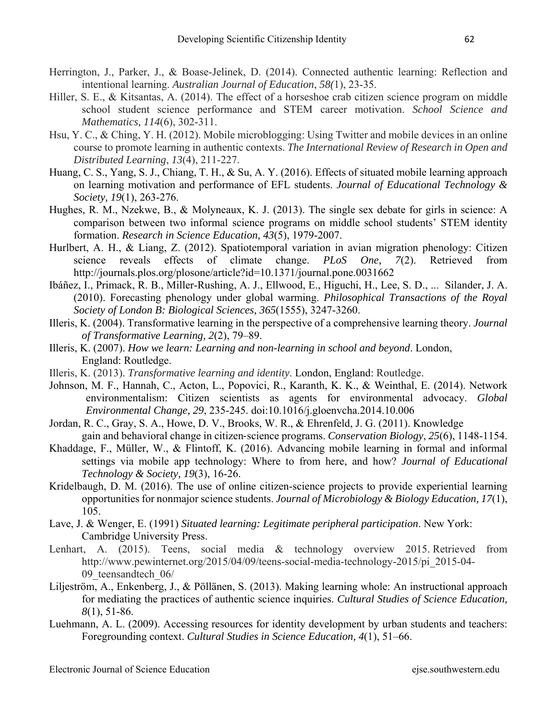- Herrington, J., Parker, J., & Boase-Jelinek, D. (2014). Connected authentic learning: Reflection and intentional learning. *Australian Journal of Education*, *58(*1), 23-35.
- Hiller, S. E., & Kitsantas, A. (2014). The effect of a horseshoe crab citizen science program on middle school student science performance and STEM career motivation. *School Science and Mathematics, 114*(6), 302-311.
- Hsu, Y. C., & Ching, Y. H. (2012). Mobile microblogging: Using Twitter and mobile devices in an online course to promote learning in authentic contexts. *The International Review of Research in Open and Distributed Learning*, *13*(4), 211-227.
- Huang, C. S., Yang, S. J., Chiang, T. H., & Su, A. Y. (2016). Effects of situated mobile learning approach on learning motivation and performance of EFL students. *Journal of Educational Technology & Society, 19*(1), 263-276.
- Hughes, R. M., Nzekwe, B., & Molyneaux, K. J. (2013). The single sex debate for girls in science: A comparison between two informal science programs on middle school students' STEM identity formation. *Research in Science Education, 43*(5), 1979-2007.
- Hurlbert, A. H., & Liang, Z. (2012). Spatiotemporal variation in avian migration phenology: Citizen science reveals effects of climate change. *PLoS One, 7*(2). Retrieved from http://journals.plos.org/plosone/article?id=10.1371/journal.pone.0031662
- Ibáñez, I., Primack, R. B., Miller-Rushing, A. J., Ellwood, E., Higuchi, H., Lee, S. D., ... Silander, J. A. (2010). Forecasting phenology under global warming. *Philosophical Transactions of the Royal Society of London B: Biological Sciences, 365*(1555), 3247-3260.
- Illeris, K. (2004). Transformative learning in the perspective of a comprehensive learning theory. *Journal of Transformative Learning, 2*(2), 79–89.
- Illeris, K. (2007). *How we learn: Learning and non-learning in school and beyond*. London, England: Routledge.
- Illeris, K. (2013). *Transformative learning and identity*. London, England: Routledge.
- Johnson, M. F., Hannah, C., Acton, L., Popovici, R., Karanth, K. K., & Weinthal, E. (2014). Network environmentalism: Citizen scientists as agents for environmental advocacy. *Global Environmental Change, 29*, 235-245. doi:10.1016/j.gloenvcha.2014.10.006
- Jordan, R. C., Gray, S. A., Howe, D. V., Brooks, W. R., & Ehrenfeld, J. G. (2011). Knowledge gain and behavioral change in citizen‐science programs. *Conservation Biology*, *25*(6), 1148-1154.
- Khaddage, F., Müller, W., & Flintoff, K. (2016). Advancing mobile learning in formal and informal settings via mobile app technology: Where to from here, and how? *Journal of Educational Technology & Society, 19*(3), 16-26.
- Kridelbaugh, D. M. (2016). The use of online citizen-science projects to provide experiential learning opportunities for nonmajor science students. *Journal of Microbiology & Biology Education, 17*(1), 105.
- Lave, J. & Wenger, E. (1991) *Situated learning: Legitimate peripheral participation*. New York: Cambridge University Press.
- Lenhart, A. (2015). Teens, social media & technology overview 2015. Retrieved from http://www.pewinternet.org/2015/04/09/teens-social-media-technology-2015/pi\_2015-04- 09 teensandtech 06/
- Liljeström, A., Enkenberg, J., & Pöllänen, S. (2013). Making learning whole: An instructional approach for mediating the practices of authentic science inquiries. *Cultural Studies of Science Education, 8*(1), 51-86.
- Luehmann, A. L. (2009). Accessing resources for identity development by urban students and teachers: Foregrounding context. *Cultural Studies in Science Education, 4*(1), 51–66.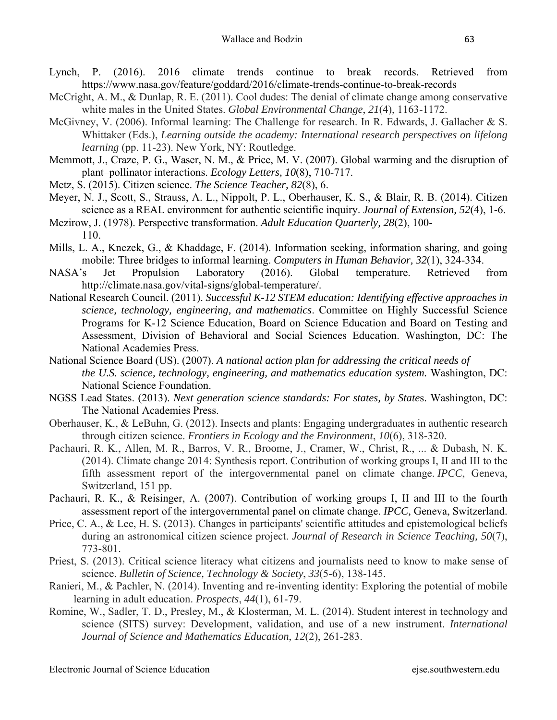- Lynch, P. (2016). 2016 climate trends continue to break records. Retrieved from https://www.nasa.gov/feature/goddard/2016/climate-trends-continue-to-break-records
- McCright, A. M., & Dunlap, R. E. (2011). Cool dudes: The denial of climate change among conservative white males in the United States. *Global Environmental Change*, *21*(4), 1163-1172.
- McGivney, V. (2006). Informal learning: The Challenge for research. In R. Edwards, J. Gallacher & S. Whittaker (Eds.), *Learning outside the academy: International research perspectives on lifelong learning* (pp. 11-23). New York, NY: Routledge.
- Memmott, J., Craze, P. G., Waser, N. M., & Price, M. V. (2007). Global warming and the disruption of plant–pollinator interactions. *Ecology Letters, 10*(8), 710-717.
- Metz, S. (2015). Citizen science. *The Science Teacher, 82*(8), 6.
- Meyer, N. J., Scott, S., Strauss, A. L., Nippolt, P. L., Oberhauser, K. S., & Blair, R. B. (2014). Citizen science as a REAL environment for authentic scientific inquiry. *Journal of Extension, 52*(4), 1-6.
- Mezirow, J. (1978). Perspective transformation. *Adult Education Quarterly, 28*(2), 100- 110.
- Mills, L. A., Knezek, G., & Khaddage, F. (2014). Information seeking, information sharing, and going mobile: Three bridges to informal learning. *Computers in Human Behavior, 32*(1), 324-334.
- NASA's Jet Propulsion Laboratory (2016). Global temperature. Retrieved from http://climate.nasa.gov/vital-signs/global-temperature/.
- National Research Council. (2011). *Successful K-12 STEM education: Identifying effective approaches in science, technology, engineering, and mathematics*. Committee on Highly Successful Science Programs for K-12 Science Education, Board on Science Education and Board on Testing and Assessment, Division of Behavioral and Social Sciences Education. Washington, DC: The National Academies Press.
- National Science Board (US). (2007). *A national action plan for addressing the critical needs of the U.S. science, technology, engineering, and mathematics education system.* Washington, DC: National Science Foundation.
- NGSS Lead States. (2013). *Next generation science standards: For states, by State*s. Washington, DC: The National Academies Press.
- Oberhauser, K., & LeBuhn, G. (2012). Insects and plants: Engaging undergraduates in authentic research through citizen science. *Frontiers in Ecology and the Environment*, *10*(6), 318-320.
- Pachauri, R. K., Allen, M. R., Barros, V. R., Broome, J., Cramer, W., Christ, R., ... & Dubash, N. K. (2014). Climate change 2014: Synthesis report. Contribution of working groups I, II and III to the fifth assessment report of the intergovernmental panel on climate change. *IPCC*, Geneva, Switzerland, 151 pp.
- Pachauri, R. K., & Reisinger, A. (2007). Contribution of working groups I, II and III to the fourth assessment report of the intergovernmental panel on climate change. *IPCC,* Geneva, Switzerland.
- Price, C. A., & Lee, H. S. (2013). Changes in participants' scientific attitudes and epistemological beliefs during an astronomical citizen science project. *Journal of Research in Science Teaching, 50*(7), 773-801.
- Priest, S. (2013). Critical science literacy what citizens and journalists need to know to make sense of science. *Bulletin of Science, Technology & Society*, *33*(5-6), 138-145.
- Ranieri, M., & Pachler, N. (2014). Inventing and re-inventing identity: Exploring the potential of mobile learning in adult education. *Prospects*, *44*(1), 61-79.
- Romine, W., Sadler, T. D., Presley, M., & Klosterman, M. L. (2014). Student interest in technology and science (SITS) survey: Development, validation, and use of a new instrument. *International Journal of Science and Mathematics Education*, *12*(2), 261-283.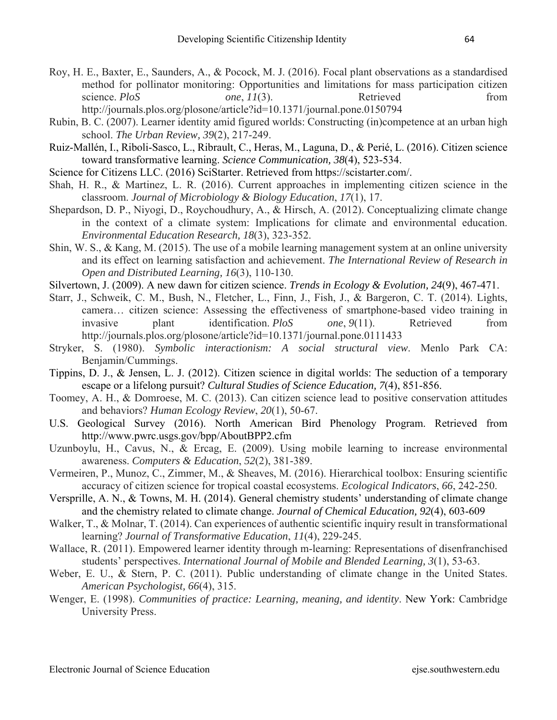- Roy, H. E., Baxter, E., Saunders, A., & Pocock, M. J. (2016). Focal plant observations as a standardised method for pollinator monitoring: Opportunities and limitations for mass participation citizen science. *PloS one*, *11*(3). Retrieved from http://journals.plos.org/plosone/article?id=10.1371/journal.pone.0150794
- Rubin, B. C. (2007). Learner identity amid figured worlds: Constructing (in)competence at an urban high school. *The Urban Review, 39*(2), 217-249.
- Ruiz-Mallén, I., Riboli-Sasco, L., Ribrault, C., Heras, M., Laguna, D., & Perié, L. (2016). Citizen science toward transformative learning. *Science Communication, 38*(4), 523-534.
- Science for Citizens LLC. (2016) SciStarter. Retrieved from https://scistarter.com/.
- Shah, H. R., & Martinez, L. R. (2016). Current approaches in implementing citizen science in the classroom. *Journal of Microbiology & Biology Education*, *17*(1), 17.
- Shepardson, D. P., Niyogi, D., Roychoudhury, A., & Hirsch, A. (2012). Conceptualizing climate change in the context of a climate system: Implications for climate and environmental education. *Environmental Education Research, 18*(3), 323-352.
- Shin, W. S., & Kang, M. (2015). The use of a mobile learning management system at an online university and its effect on learning satisfaction and achievement. *The International Review of Research in Open and Distributed Learning, 16*(3), 110-130.
- Silvertown, J. (2009). A new dawn for citizen science. *Trends in Ecology & Evolution, 24*(9), 467-471.
- Starr, J., Schweik, C. M., Bush, N., Fletcher, L., Finn, J., Fish, J., & Bargeron, C. T. (2014). Lights, camera… citizen science: Assessing the effectiveness of smartphone-based video training in invasive plant identification. *PloS one*, *9*(11). Retrieved from http://journals.plos.org/plosone/article?id=10.1371/journal.pone.0111433
- Stryker, S. (1980). *Symbolic interactionism: A social structural view*. Menlo Park CA: Benjamin/Cummings.
- Tippins, D. J., & Jensen, L. J. (2012). Citizen science in digital worlds: The seduction of a temporary escape or a lifelong pursuit? *Cultural Studies of Science Education, 7*(4), 851-856.
- Toomey, A. H., & Domroese, M. C. (2013). Can citizen science lead to positive conservation attitudes and behaviors? *Human Ecology Review*, *20*(1), 50-67.
- U.S. Geological Survey (2016). North American Bird Phenology Program. Retrieved from http://www.pwrc.usgs.gov/bpp/AboutBPP2.cfm
- Uzunboylu, H., Cavus, N., & Ercag, E. (2009). Using mobile learning to increase environmental awareness. *Computers & Education*, *52*(2), 381-389.
- Vermeiren, P., Munoz, C., Zimmer, M., & Sheaves, M. (2016). Hierarchical toolbox: Ensuring scientific accuracy of citizen science for tropical coastal ecosystems. *Ecological Indicators*, *66*, 242-250.
- Versprille, A. N., & Towns, M. H. (2014). General chemistry students' understanding of climate change and the chemistry related to climate change. *Journal of Chemical Education, 92*(4), 603-609
- Walker, T., & Molnar, T. (2014). Can experiences of authentic scientific inquiry result in transformational learning? *Journal of Transformative Education*, *11*(4), 229-245.
- Wallace, R. (2011). Empowered learner identity through m-learning: Representations of disenfranchised students' perspectives. *International Journal of Mobile and Blended Learning, 3*(1), 53-63.
- Weber, E. U., & Stern, P. C. (2011). Public understanding of climate change in the United States. *American Psychologist, 66*(4), 315.
- Wenger, E. (1998). *Communities of practice: Learning, meaning, and identity*. New York: Cambridge University Press.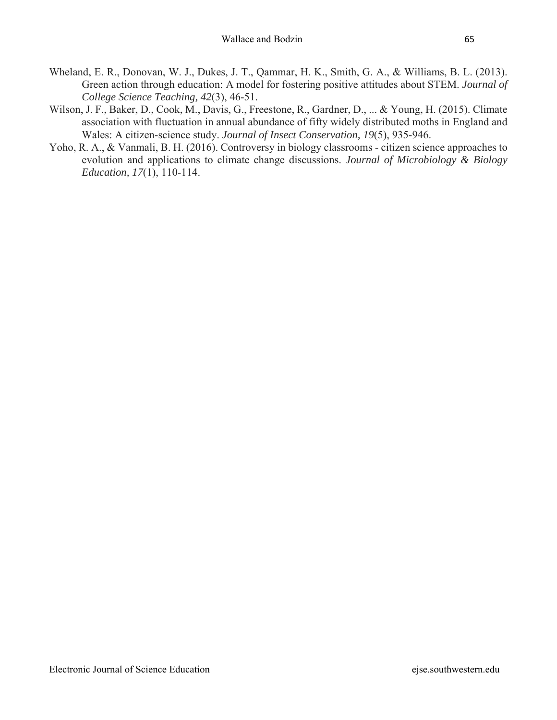- Wheland, E. R., Donovan, W. J., Dukes, J. T., Qammar, H. K., Smith, G. A., & Williams, B. L. (2013). Green action through education: A model for fostering positive attitudes about STEM. *Journal of College Science Teaching, 42*(3), 46-51.
- Wilson, J. F., Baker, D., Cook, M., Davis, G., Freestone, R., Gardner, D., ... & Young, H. (2015). Climate association with fluctuation in annual abundance of fifty widely distributed moths in England and Wales: A citizen-science study. *Journal of Insect Conservation, 19*(5), 935-946.
- Yoho, R. A., & Vanmali, B. H. (2016). Controversy in biology classrooms citizen science approaches to evolution and applications to climate change discussions. *Journal of Microbiology & Biology Education, 17*(1), 110-114.

Electronic Journal of Science Education ejse.southwestern.edu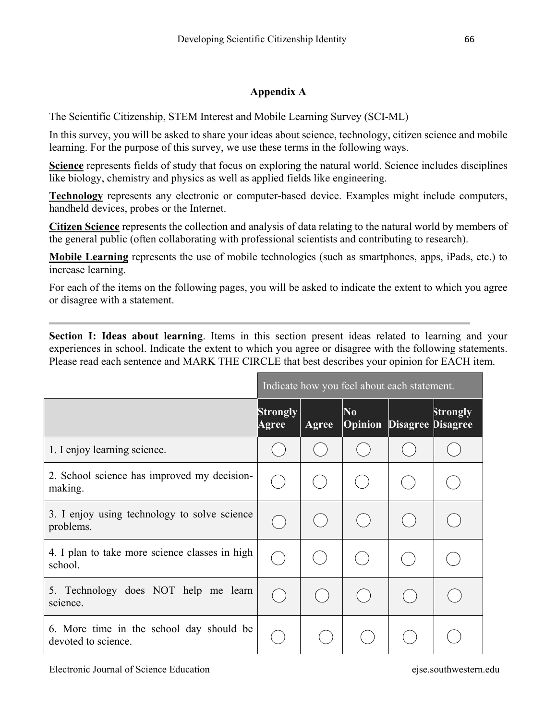# **Appendix A**

The Scientific Citizenship, STEM Interest and Mobile Learning Survey (SCI-ML)

In this survey, you will be asked to share your ideas about science, technology, citizen science and mobile learning. For the purpose of this survey, we use these terms in the following ways.

**Science** represents fields of study that focus on exploring the natural world. Science includes disciplines like biology, chemistry and physics as well as applied fields like engineering.

**Technology** represents any electronic or computer-based device. Examples might include computers, handheld devices, probes or the Internet.

**Citizen Science** represents the collection and analysis of data relating to the natural world by members of the general public (often collaborating with professional scientists and contributing to research).

**Mobile Learning** represents the use of mobile technologies (such as smartphones, apps, iPads, etc.) to increase learning.

For each of the items on the following pages, you will be asked to indicate the extent to which you agree or disagree with a statement.

**Section I: Ideas about learning**. Items in this section present ideas related to learning and your experiences in school. Indicate the extent to which you agree or disagree with the following statements. Please read each sentence and MARK THE CIRCLE that best describes your opinion for EACH item.

|                                                                 | Indicate how you feel about each statement. |       |                                  |                          |                 |
|-----------------------------------------------------------------|---------------------------------------------|-------|----------------------------------|--------------------------|-----------------|
|                                                                 | <b>Strongly</b><br><b>Agree</b>             | Agree | N <sub>0</sub><br><b>Opinion</b> | <b>Disagree Disagree</b> | <b>Strongly</b> |
| 1. I enjoy learning science.                                    |                                             |       |                                  |                          |                 |
| 2. School science has improved my decision-<br>making.          |                                             |       |                                  |                          |                 |
| 3. I enjoy using technology to solve science<br>problems.       |                                             |       |                                  |                          |                 |
| 4. I plan to take more science classes in high<br>school.       |                                             |       |                                  |                          |                 |
| 5. Technology does NOT help me learn<br>science.                |                                             |       |                                  |                          |                 |
| 6. More time in the school day should be<br>devoted to science. |                                             |       |                                  |                          |                 |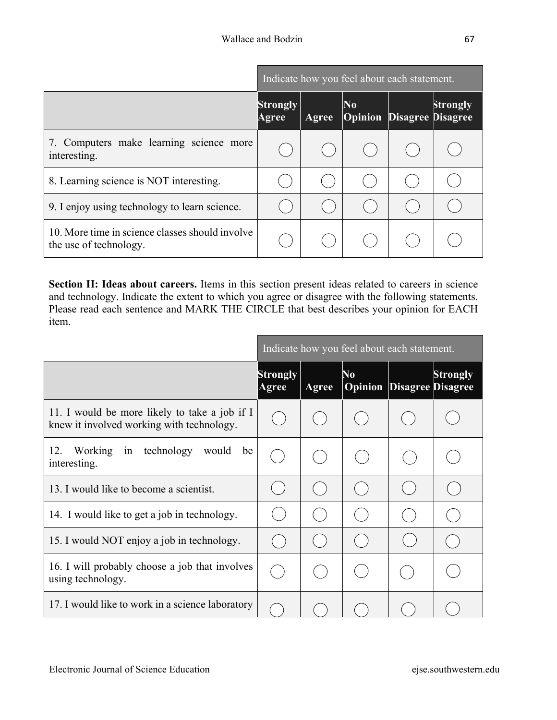|                                                                           | Indicate how you feel about each statement. |       |                                                    |  |          |
|---------------------------------------------------------------------------|---------------------------------------------|-------|----------------------------------------------------|--|----------|
|                                                                           | <b>Strongly</b><br>Agree                    | Agree | N <sub>0</sub><br><b>Opinion Disagree Disagree</b> |  | Strongly |
| 7. Computers make learning science more<br>interesting.                   |                                             |       |                                                    |  |          |
| 8. Learning science is NOT interesting.                                   |                                             |       |                                                    |  |          |
| 9. I enjoy using technology to learn science.                             |                                             |       |                                                    |  |          |
| 10. More time in science classes should involve<br>the use of technology. |                                             |       |                                                    |  |          |

**Section II: Ideas about careers.** Items in this section present ideas related to careers in science and technology. Indicate the extent to which you agree or disagree with the following statements. Please read each sentence and MARK THE CIRCLE that best describes your opinion for EACH item.

-

|                                                                                            | Indicate how you feel about each statement. |              |               |                          |                 |
|--------------------------------------------------------------------------------------------|---------------------------------------------|--------------|---------------|--------------------------|-----------------|
|                                                                                            | <b>Strongly</b><br>Agree                    | <b>Agree</b> | No<br>Opinion | <b>Disagree Disagree</b> | <b>Strongly</b> |
| 11. I would be more likely to take a job if I<br>knew it involved working with technology. |                                             |              |               |                          |                 |
| Working in technology<br>12.<br>would<br>be<br>interesting.                                |                                             |              |               |                          |                 |
| 13. I would like to become a scientist.                                                    |                                             |              |               |                          |                 |
| 14. I would like to get a job in technology.                                               |                                             |              |               |                          |                 |
| 15. I would NOT enjoy a job in technology.                                                 |                                             |              |               |                          |                 |
| 16. I will probably choose a job that involves<br>using technology.                        |                                             |              |               |                          |                 |
| 17. I would like to work in a science laboratory                                           |                                             |              |               |                          |                 |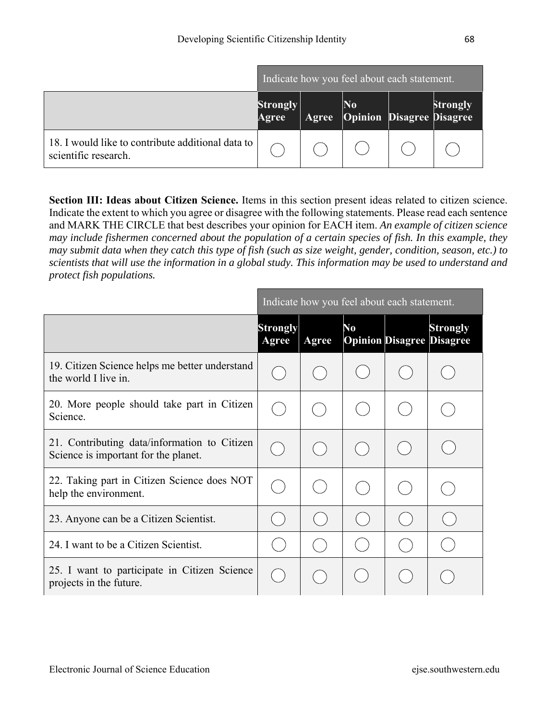|                                                                           | Indicate how you feel about each statement. |  |                                             |  |          |
|---------------------------------------------------------------------------|---------------------------------------------|--|---------------------------------------------|--|----------|
|                                                                           | Strongly<br>Agree                           |  | $\bf No$<br>Agree Opinion Disagree Disagree |  | Strongly |
| 18. I would like to contribute additional data to<br>scientific research. |                                             |  |                                             |  |          |

**Section III: Ideas about Citizen Science.** Items in this section present ideas related to citizen science. Indicate the extent to which you agree or disagree with the following statements. Please read each sentence and MARK THE CIRCLE that best describes your opinion for EACH item. *An example of citizen science may include fishermen concerned about the population of a certain species of fish. In this example, they may submit data when they catch this type of fish (such as size weight, gender, condition, season, etc.) to scientists that will use the information in a global study. This information may be used to understand and protect fish populations.*

|                                                                                      | Indicate how you feel about each statement. |       |    |  |                                                     |  |
|--------------------------------------------------------------------------------------|---------------------------------------------|-------|----|--|-----------------------------------------------------|--|
|                                                                                      | <b>Strongly</b><br>Agree                    | Agree | No |  | <b>Strongly</b><br><b>Opinion Disagree Disagree</b> |  |
| 19. Citizen Science helps me better understand<br>the world I live in.               |                                             |       |    |  |                                                     |  |
| 20. More people should take part in Citizen<br>Science.                              |                                             |       |    |  |                                                     |  |
| 21. Contributing data/information to Citizen<br>Science is important for the planet. |                                             |       |    |  |                                                     |  |
| 22. Taking part in Citizen Science does NOT<br>help the environment.                 |                                             |       |    |  |                                                     |  |
| 23. Anyone can be a Citizen Scientist.                                               |                                             |       |    |  |                                                     |  |
| 24. I want to be a Citizen Scientist.                                                |                                             |       |    |  |                                                     |  |
| 25. I want to participate in Citizen Science<br>projects in the future.              |                                             |       |    |  |                                                     |  |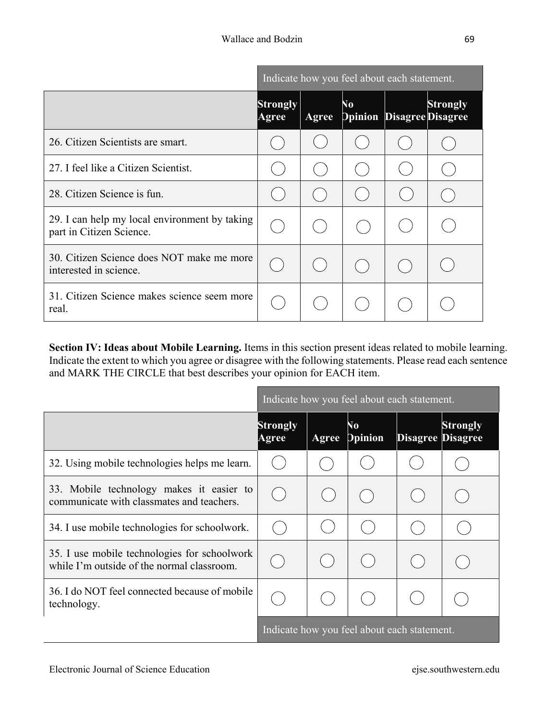|                                                                           | Indicate how you feel about each statement. |       |                                             |  |                                             |
|---------------------------------------------------------------------------|---------------------------------------------|-------|---------------------------------------------|--|---------------------------------------------|
|                                                                           | <b>Strongly</b><br>Agree                    | Agree | $\overline{\mathsf{N}}_0$<br><b>Opinion</b> |  | <b>Strongly</b><br><b>Disagree Disagree</b> |
| 26. Citizen Scientists are smart.                                         |                                             |       |                                             |  |                                             |
| 27. I feel like a Citizen Scientist.                                      |                                             |       |                                             |  |                                             |
| 28. Citizen Science is fun.                                               |                                             |       |                                             |  |                                             |
| 29. I can help my local environment by taking<br>part in Citizen Science. |                                             |       |                                             |  |                                             |
| 30. Citizen Science does NOT make me more<br>interested in science.       |                                             |       |                                             |  |                                             |
| 31. Citizen Science makes science seem more<br>real.                      |                                             |       |                                             |  |                                             |

**Section IV: Ideas about Mobile Learning.** Items in this section present ideas related to mobile learning. Indicate the extent to which you agree or disagree with the following statements. Please read each sentence and MARK THE CIRCLE that best describes your opinion for EACH item.

|                                                                                            | Indicate how you feel about each statement. |       |                                             |                          |                 |  |
|--------------------------------------------------------------------------------------------|---------------------------------------------|-------|---------------------------------------------|--------------------------|-----------------|--|
|                                                                                            | <b>Strongly</b><br>Agree                    | Agree | $\overline{\mathsf{N}}_0$<br><b>Dpinion</b> | <b>Disagree Disagree</b> | <b>Strongly</b> |  |
| 32. Using mobile technologies helps me learn.                                              |                                             |       |                                             |                          |                 |  |
| 33. Mobile technology makes it easier to<br>communicate with classmates and teachers.      |                                             |       |                                             |                          |                 |  |
| 34. I use mobile technologies for schoolwork.                                              |                                             |       |                                             |                          |                 |  |
| 35. I use mobile technologies for schoolwork<br>while I'm outside of the normal classroom. |                                             |       |                                             |                          |                 |  |
| 36. I do NOT feel connected because of mobile<br>technology.                               |                                             |       |                                             |                          |                 |  |
|                                                                                            | Indicate how you feel about each statement. |       |                                             |                          |                 |  |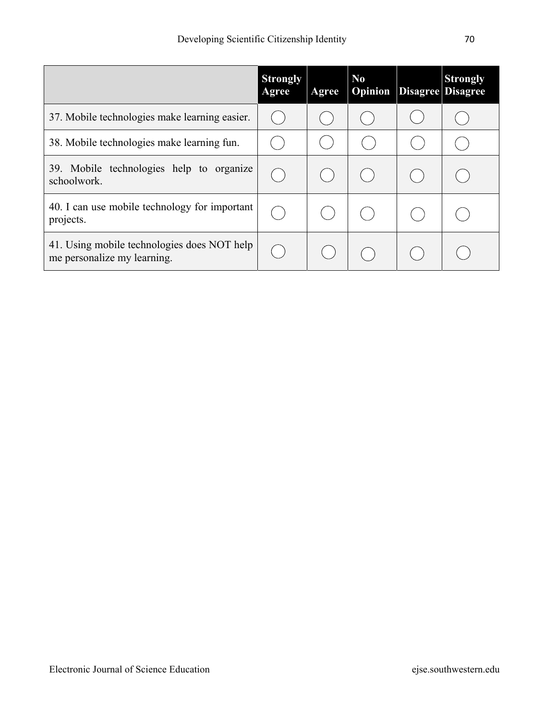|                                                                            | <b>Strongly</b><br>Agree | Agree | $\mathbf{N}\mathbf{o}$<br><b>Opinion</b> | <b>Strongly</b><br>Disagree Disagree |
|----------------------------------------------------------------------------|--------------------------|-------|------------------------------------------|--------------------------------------|
| 37. Mobile technologies make learning easier.                              |                          |       |                                          |                                      |
| 38. Mobile technologies make learning fun.                                 |                          |       |                                          |                                      |
| 39. Mobile technologies help to organize<br>schoolwork.                    |                          |       |                                          |                                      |
| 40. I can use mobile technology for important<br>projects.                 |                          |       |                                          |                                      |
| 41. Using mobile technologies does NOT help<br>me personalize my learning. |                          |       |                                          |                                      |